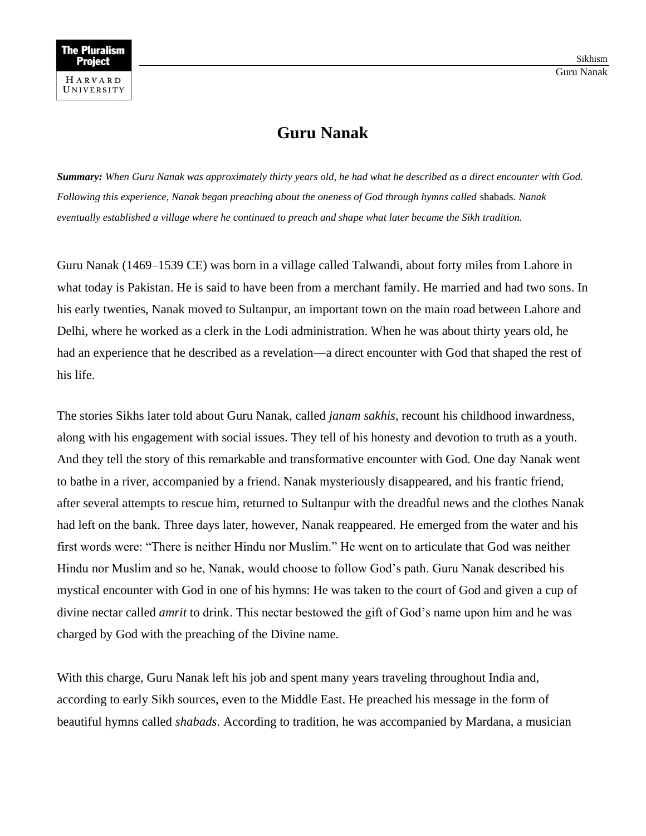## **Guru Nanak**

*Summary: When Guru Nanak was approximately thirty years old, he had what he described as a direct encounter with God. Following this experience, Nanak began preaching about the oneness of God through hymns called* shabads*. Nanak eventually established a village where he continued to preach and shape what later became the Sikh tradition.*

Guru Nanak (1469–1539 CE) was born in a village called Talwandi, about forty miles from Lahore in what today is Pakistan. He is said to have been from a merchant family. He married and had two sons. In his early twenties, Nanak moved to Sultanpur, an important town on the main road between Lahore and Delhi, where he worked as a clerk in the Lodi administration. When he was about thirty years old, he had an experience that he described as a revelation—a direct encounter with God that shaped the rest of his life.

The stories Sikhs later told about Guru Nanak, called *janam sakhis*, recount his childhood inwardness, along with his engagement with social issues. They tell of his honesty and devotion to truth as a youth. And they tell the story of this remarkable and transformative encounter with God. One day Nanak went to bathe in a river, accompanied by a friend. Nanak mysteriously disappeared, and his frantic friend, after several attempts to rescue him, returned to Sultanpur with the dreadful news and the clothes Nanak had left on the bank. Three days later, however, Nanak reappeared. He emerged from the water and his first words were: "There is neither Hindu nor Muslim." He went on to articulate that God was neither Hindu nor Muslim and so he, Nanak, would choose to follow God's path. Guru Nanak described his mystical encounter with God in one of his hymns: He was taken to the court of God and given a cup of divine nectar called *amrit* to drink. This nectar bestowed the gift of God's name upon him and he was charged by God with the preaching of the Divine name.

With this charge, Guru Nanak left his job and spent many years traveling throughout India and, according to early Sikh sources, even to the Middle East. He preached his message in the form of beautiful hymns called *shabads*. According to tradition, he was accompanied by Mardana, a musician